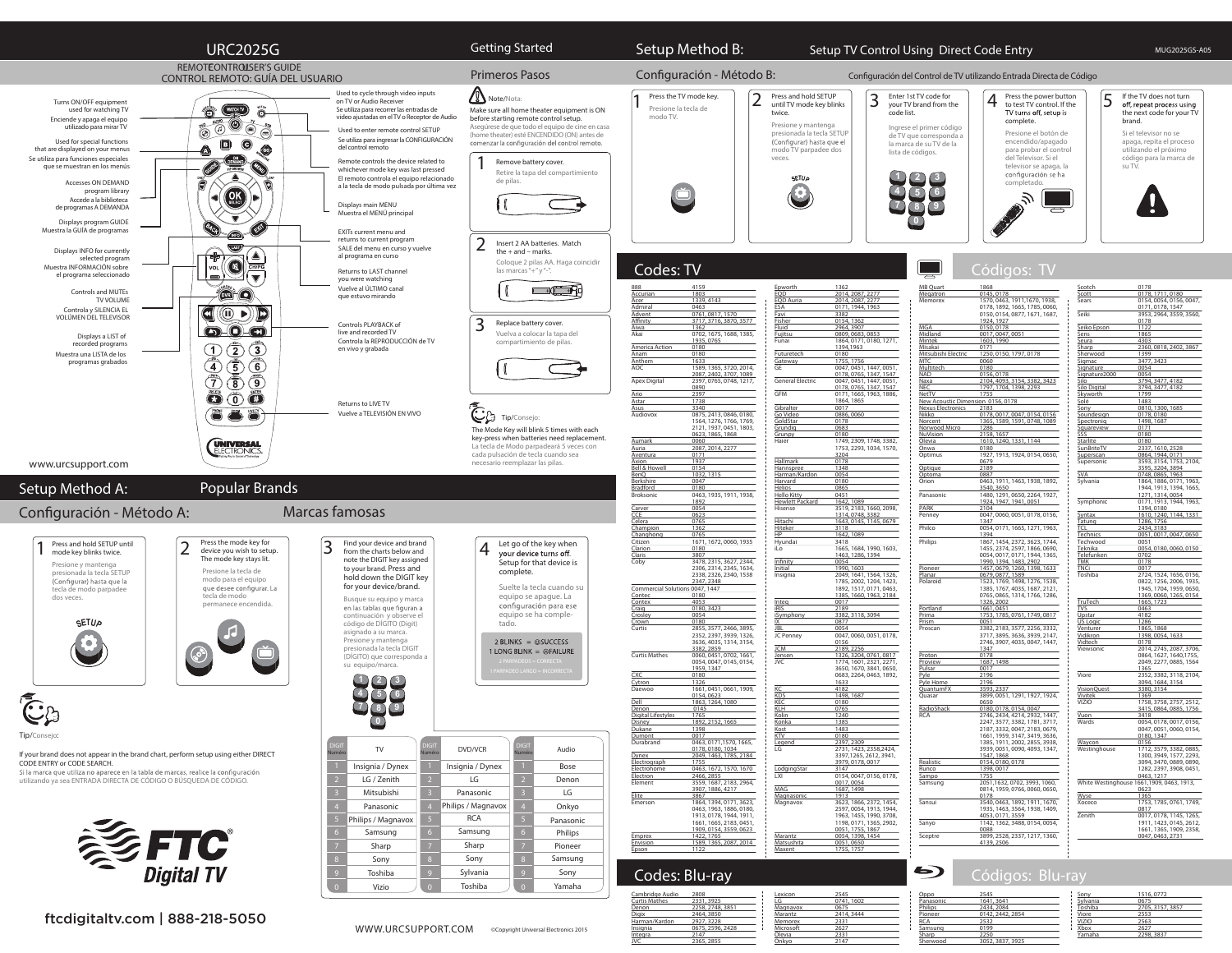

ftcdigitaltv.com | 888-218-5050

Digix 2464, 3850<br>Harman/Kardon 2927, 3228 Harman/Kardon 2927, 3228 Insignia 0675, 2596, 2428  $2147$ JVC 2365, 2855

Memorex Microsoft 2627 Ölevia 2331 Onkyo 2147

Samsung 0199  $2250$ Sherwood 3052, 3837, 3925 Xbox 2627 Yamaha 2298, 3837